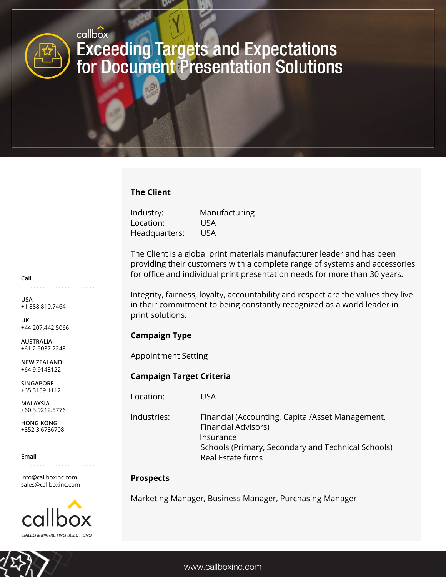# callbox **Exceeding Targets and Expectations<br>for Document Presentation Solutions**

## **The Client**

| Industry:     | Manufacturing |
|---------------|---------------|
| Location:     | <b>USA</b>    |
| Headquarters: | USA           |

The Client is a global print materials manufacturer leader and has been providing their customers with a complete range of systems and accessories for office and individual print presentation needs for more than 30 years.

Integrity, fairness, loyalty, accountability and respect are the values they live in their commitment to being constantly recognized as a world leader in print solutions.

# **Campaign Type**

Appointment Setting

### **Campaign Target Criteria**

Location: USA

Industries: Financial (Accounting, Capital/Asset Management, Financial Advisors) Insurance Schools (Primary, Secondary and Technical Schools) Real Estate firms

### **Prospects**

Marketing Manager, Business Manager, Purchasing Manager

**Call**

**USA** +1 888.810.7464

**. . . . . . . . . . . . . . . . . . . . . . . . . . .**

**UK** +44 207.442.5066

**AUSTRALIA** +61 2 9037 2248

**NEW ZEALAND** +64 9.9143122

**SINGAPORE** +65 3159.1112

**MALAYSIA** +60 3.9212.5776

**HONG KONG** +852 3.6786708

#### **Email**

info@callboxinc.com sales@callboxinc.com

**. . . . . . . . . . . . . . . . . . . . . . . . . . .**

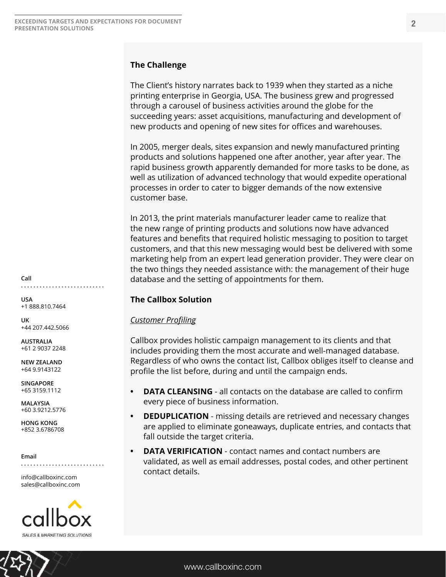#### **The Challenge**

The Client's history narrates back to 1939 when they started as a niche printing enterprise in Georgia, USA. The business grew and progressed through a carousel of business activities around the globe for the succeeding years: asset acquisitions, manufacturing and development of new products and opening of new sites for offices and warehouses.

In 2005, merger deals, sites expansion and newly manufactured printing products and solutions happened one after another, year after year. The rapid business growth apparently demanded for more tasks to be done, as well as utilization of advanced technology that would expedite operational processes in order to cater to bigger demands of the now extensive customer base.

In 2013, the print materials manufacturer leader came to realize that the new range of printing products and solutions now have advanced features and benefits that required holistic messaging to position to target customers, and that this new messaging would best be delivered with some marketing help from an expert lead generation provider. They were clear on the two things they needed assistance with: the management of their huge database and the setting of appointments for them.

#### **The Callbox Solution**

#### *Customer Profiling*

Callbox provides holistic campaign management to its clients and that includes providing them the most accurate and well-managed database. Regardless of who owns the contact list, Callbox obliges itself to cleanse and profile the list before, during and until the campaign ends.

- **DATA CLEANSING** all contacts on the database are called to confirm every piece of business information.
- **DEDUPLICATION** missing details are retrieved and necessary changes are applied to eliminate goneaways, duplicate entries, and contacts that fall outside the target criteria.
- **DATA VERIFICATION** contact names and contact numbers are validated, as well as email addresses, postal codes, and other pertinent contact details.

**Call . . . . . . . . . . . . . . . . . . . . . . . . . . .**

**USA** +1 888.810.7464

**UK** +44 207.442.5066

**AUSTRALIA** +61 2 9037 2248

**NEW ZEALAND** +64 9.9143122

**SINGAPORE** +65 3159.1112

**MALAYSIA** +60 3.9212.5776

**HONG KONG** +852 3.6786708

**Email**

info@callboxinc.com sales@callboxinc.com

**. . . . . . . . . . . . . . . . . . . . . . . . . . .**